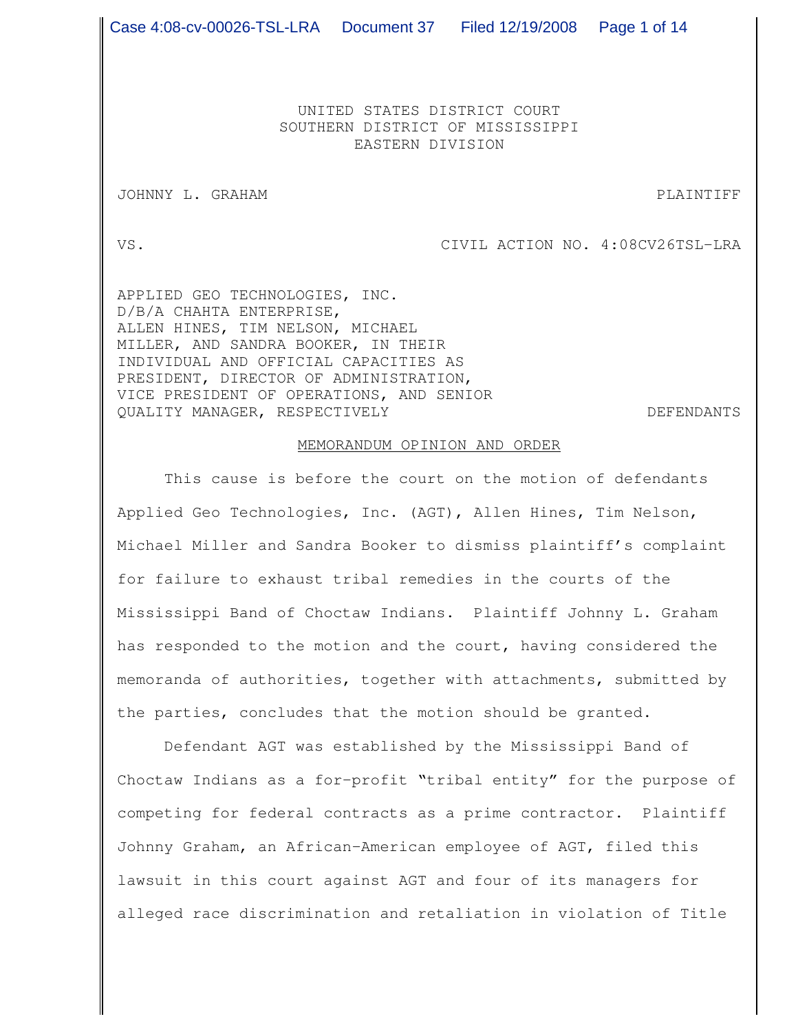UNITED STATES DISTRICT COURT SOUTHERN DISTRICT OF MISSISSIPPI EASTERN DIVISION

JOHNNY L. GRAHAM PLAINTIFF

VS. CIVIL ACTION NO. 4:08CV26TSL-LRA

APPLIED GEO TECHNOLOGIES, INC. D/B/A CHAHTA ENTERPRISE, ALLEN HINES, TIM NELSON, MICHAEL MILLER, AND SANDRA BOOKER, IN THEIR INDIVIDUAL AND OFFICIAL CAPACITIES AS PRESIDENT, DIRECTOR OF ADMINISTRATION, VICE PRESIDENT OF OPERATIONS, AND SENIOR QUALITY MANAGER, RESPECTIVELY DEFENDANTS

## MEMORANDUM OPINION AND ORDER

This cause is before the court on the motion of defendants Applied Geo Technologies, Inc. (AGT), Allen Hines, Tim Nelson, Michael Miller and Sandra Booker to dismiss plaintiff's complaint for failure to exhaust tribal remedies in the courts of the Mississippi Band of Choctaw Indians. Plaintiff Johnny L. Graham has responded to the motion and the court, having considered the memoranda of authorities, together with attachments, submitted by the parties, concludes that the motion should be granted.

Defendant AGT was established by the Mississippi Band of Choctaw Indians as a for-profit "tribal entity" for the purpose of competing for federal contracts as a prime contractor. Plaintiff Johnny Graham, an African-American employee of AGT, filed this lawsuit in this court against AGT and four of its managers for alleged race discrimination and retaliation in violation of Title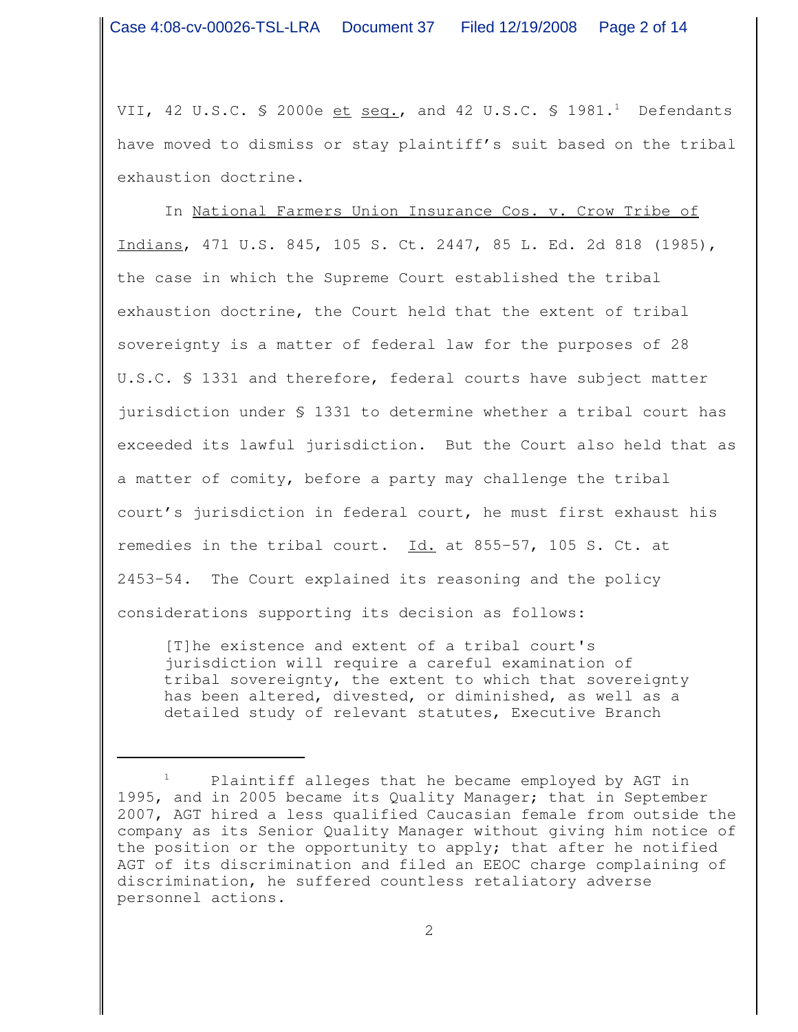VII, 42 U.S.C. § 2000e <u>et seq.</u>, and 42 U.S.C. § 1981.<sup>1</sup> Defendants have moved to dismiss or stay plaintiff's suit based on the tribal exhaustion doctrine.

In National Farmers Union Insurance Cos. v. Crow Tribe of Indians, 471 U.S. 845, 105 S. Ct. 2447, 85 L. Ed. 2d 818 (1985), the case in which the Supreme Court established the tribal exhaustion doctrine, the Court held that the extent of tribal sovereignty is a matter of federal law for the purposes of 28 U.S.C. § 1331 and therefore, federal courts have subject matter jurisdiction under § 1331 to determine whether a tribal court has exceeded its lawful jurisdiction. But the Court also held that as a matter of comity, before a party may challenge the tribal court's jurisdiction in federal court, he must first exhaust his remedies in the tribal court. Id. at 855-57, 105 S. Ct. at 2453-54. The Court explained its reasoning and the policy considerations supporting its decision as follows:

[T]he existence and extent of a tribal court's jurisdiction will require a careful examination of tribal sovereignty, the extent to which that sovereignty has been altered, divested, or diminished, as well as a detailed study of relevant statutes, Executive Branch

Plaintiff alleges that he became employed by AGT in 1995, and in 2005 became its Quality Manager; that in September 2007, AGT hired a less qualified Caucasian female from outside the company as its Senior Quality Manager without giving him notice of the position or the opportunity to apply; that after he notified AGT of its discrimination and filed an EEOC charge complaining of discrimination, he suffered countless retaliatory adverse personnel actions.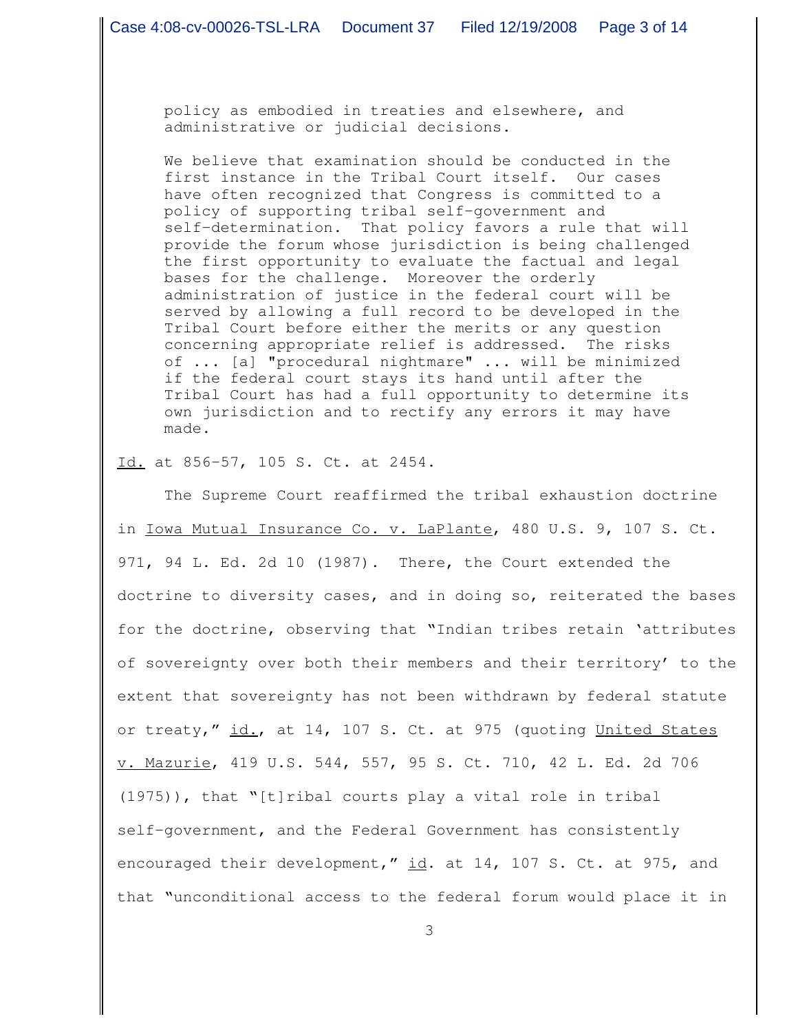policy as embodied in treaties and elsewhere, and administrative or judicial decisions.

We believe that examination should be conducted in the first instance in the Tribal Court itself. Our cases have often recognized that Congress is committed to a policy of supporting tribal self-government and self-determination. That policy favors a rule that will provide the forum whose jurisdiction is being challenged the first opportunity to evaluate the factual and legal bases for the challenge. Moreover the orderly administration of justice in the federal court will be served by allowing a full record to be developed in the Tribal Court before either the merits or any question concerning appropriate relief is addressed. The risks of ... [a] "procedural nightmare" ... will be minimized if the federal court stays its hand until after the Tribal Court has had a full opportunity to determine its own jurisdiction and to rectify any errors it may have made.

Id. at 856-57, 105 S. Ct. at 2454.

The Supreme Court reaffirmed the tribal exhaustion doctrine in Iowa Mutual Insurance Co. v. LaPlante, 480 U.S. 9, 107 S. Ct. 971, 94 L. Ed. 2d 10 (1987). There, the Court extended the doctrine to diversity cases, and in doing so, reiterated the bases for the doctrine, observing that "Indian tribes retain 'attributes of sovereignty over both their members and their territory' to the extent that sovereignty has not been withdrawn by federal statute or treaty," id., at 14, 107 S. Ct. at 975 (quoting United States v. Mazurie, 419 U.S. 544, 557, 95 S. Ct. 710, 42 L. Ed. 2d 706 (1975)), that "[t]ribal courts play a vital role in tribal self-government, and the Federal Government has consistently encouraged their development," id. at 14, 107 S. Ct. at 975, and that "unconditional access to the federal forum would place it in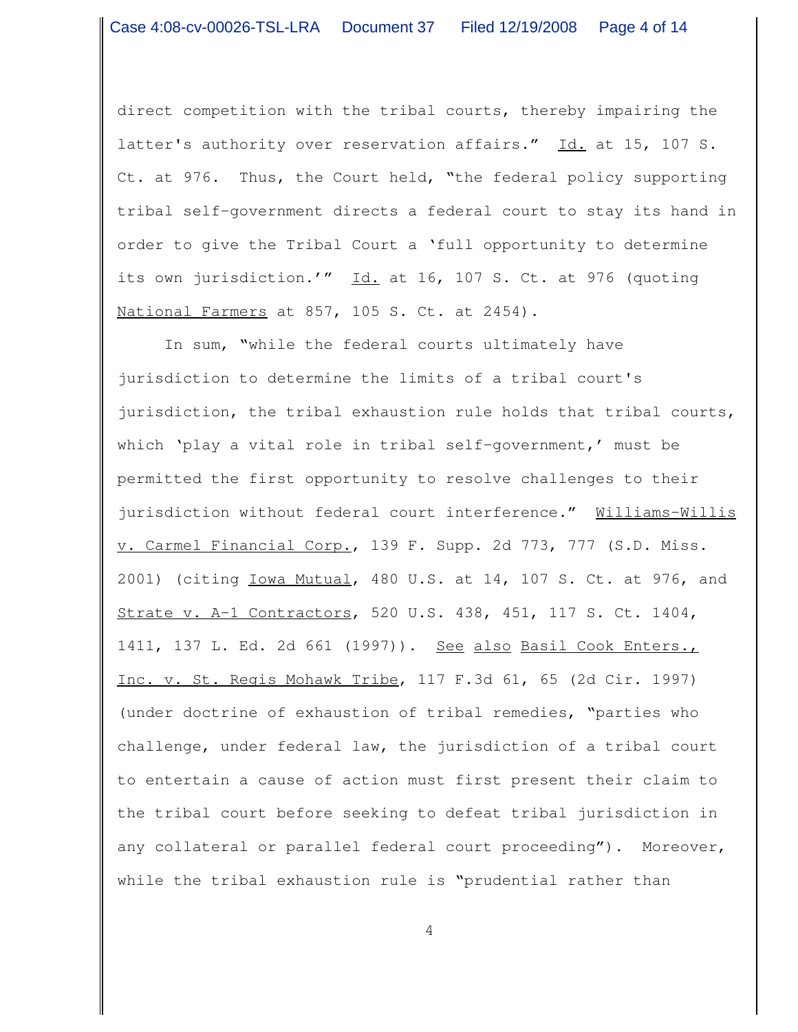direct competition with the tribal courts, thereby impairing the latter's authority over reservation affairs." Id. at 15, 107 S. Ct. at 976. Thus, the Court held, "the federal policy supporting tribal self-government directs a federal court to stay its hand in order to give the Tribal Court a 'full opportunity to determine its own jurisdiction.'" Id. at 16, 107 S. Ct. at 976 (quoting National Farmers at 857, 105 S. Ct. at 2454).

In sum, "while the federal courts ultimately have jurisdiction to determine the limits of a tribal court's jurisdiction, the tribal exhaustion rule holds that tribal courts, which 'play a vital role in tribal self-government,' must be permitted the first opportunity to resolve challenges to their jurisdiction without federal court interference." Williams-Willis v. Carmel Financial Corp., 139 F. Supp. 2d 773, 777 (S.D. Miss. 2001) (citing Iowa Mutual, 480 U.S. at 14, 107 S. Ct. at 976, and Strate v. A-1 Contractors, 520 U.S. 438, 451, 117 S. Ct. 1404, 1411, 137 L. Ed. 2d 661 (1997)). See also Basil Cook Enters., Inc. v. St. Regis Mohawk Tribe, 117 F.3d 61, 65 (2d Cir. 1997) (under doctrine of exhaustion of tribal remedies, "parties who challenge, under federal law, the jurisdiction of a tribal court to entertain a cause of action must first present their claim to the tribal court before seeking to defeat tribal jurisdiction in any collateral or parallel federal court proceeding"). Moreover, while the tribal exhaustion rule is "prudential rather than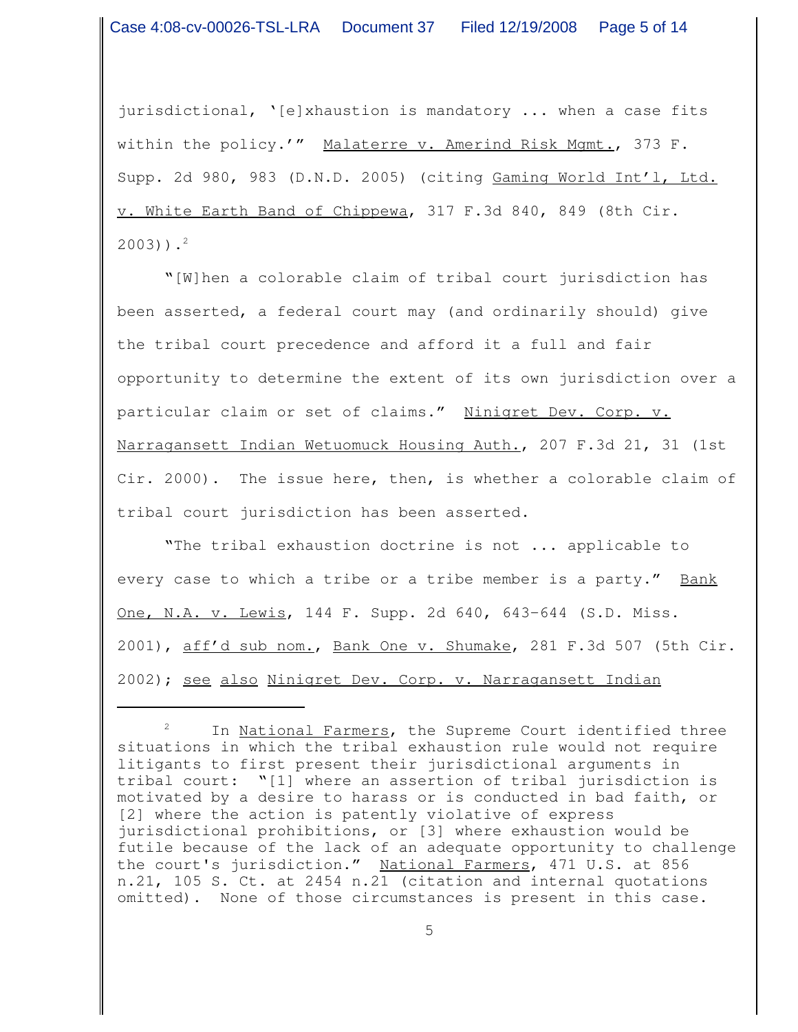jurisdictional, '[e]xhaustion is mandatory ... when a case fits within the policy.'" Malaterre v. Amerind Risk Mgmt., 373 F. Supp. 2d 980, 983 (D.N.D. 2005) (citing Gaming World Int'l, Ltd. v. White Earth Band of Chippewa, 317 F.3d 840, 849 (8th Cir. 2003)). 2

"[W]hen a colorable claim of tribal court jurisdiction has been asserted, a federal court may (and ordinarily should) give the tribal court precedence and afford it a full and fair opportunity to determine the extent of its own jurisdiction over a particular claim or set of claims." Ninigret Dev. Corp. v. Narragansett Indian Wetuomuck Housing Auth., 207 F.3d 21, 31 (1st Cir. 2000). The issue here, then, is whether a colorable claim of tribal court jurisdiction has been asserted.

"The tribal exhaustion doctrine is not ... applicable to every case to which a tribe or a tribe member is a party." Bank One, N.A. v. Lewis, 144 F. Supp. 2d 640, 643-644 (S.D. Miss. 2001), aff'd sub nom., Bank One v. Shumake, 281 F.3d 507 (5th Cir. 2002); see also Ninigret Dev. Corp. v. Narragansett Indian

<sup>&</sup>lt;sup>2</sup> In <u>National Farmers</u>, the Supreme Court identified three situations in which the tribal exhaustion rule would not require litigants to first present their jurisdictional arguments in tribal court: "[1] where an assertion of tribal jurisdiction is motivated by a desire to harass or is conducted in bad faith, or [2] where the action is patently violative of express jurisdictional prohibitions, or [3] where exhaustion would be futile because of the lack of an adequate opportunity to challenge the court's jurisdiction." National Farmers, 471 U.S. at 856 n.21, 105 S. Ct. at 2454 n.21 (citation and internal quotations omitted). None of those circumstances is present in this case.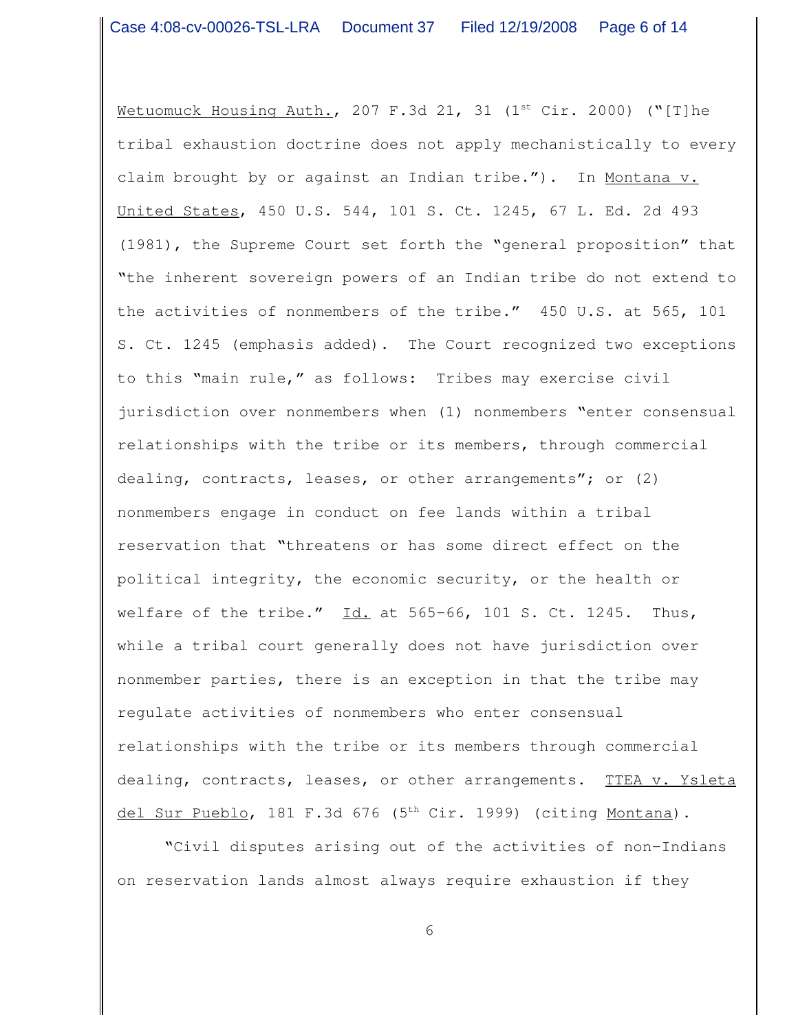Metuomuck Housing Auth., 207 F.3d 21, 31 (1<sup>st</sup> Cir. 2000) ("[T]he tribal exhaustion doctrine does not apply mechanistically to every claim brought by or against an Indian tribe."). In Montana v. United States, 450 U.S. 544, 101 S. Ct. 1245, 67 L. Ed. 2d 493 (1981), the Supreme Court set forth the "general proposition" that "the inherent sovereign powers of an Indian tribe do not extend to the activities of nonmembers of the tribe." 450 U.S. at 565, 101 S. Ct. 1245 (emphasis added). The Court recognized two exceptions to this "main rule," as follows: Tribes may exercise civil jurisdiction over nonmembers when (1) nonmembers "enter consensual relationships with the tribe or its members, through commercial dealing, contracts, leases, or other arrangements"; or (2) nonmembers engage in conduct on fee lands within a tribal reservation that "threatens or has some direct effect on the political integrity, the economic security, or the health or welfare of the tribe."  $\underline{Id.}$  at 565-66, 101 S. Ct. 1245. Thus, while a tribal court generally does not have jurisdiction over nonmember parties, there is an exception in that the tribe may regulate activities of nonmembers who enter consensual relationships with the tribe or its members through commercial dealing, contracts, leases, or other arrangements. TTEA v. Ysleta del Sur Pueblo, 181 F.3d 676 (5<sup>th</sup> Cir. 1999) (citing Montana).

"Civil disputes arising out of the activities of non-Indians on reservation lands almost always require exhaustion if they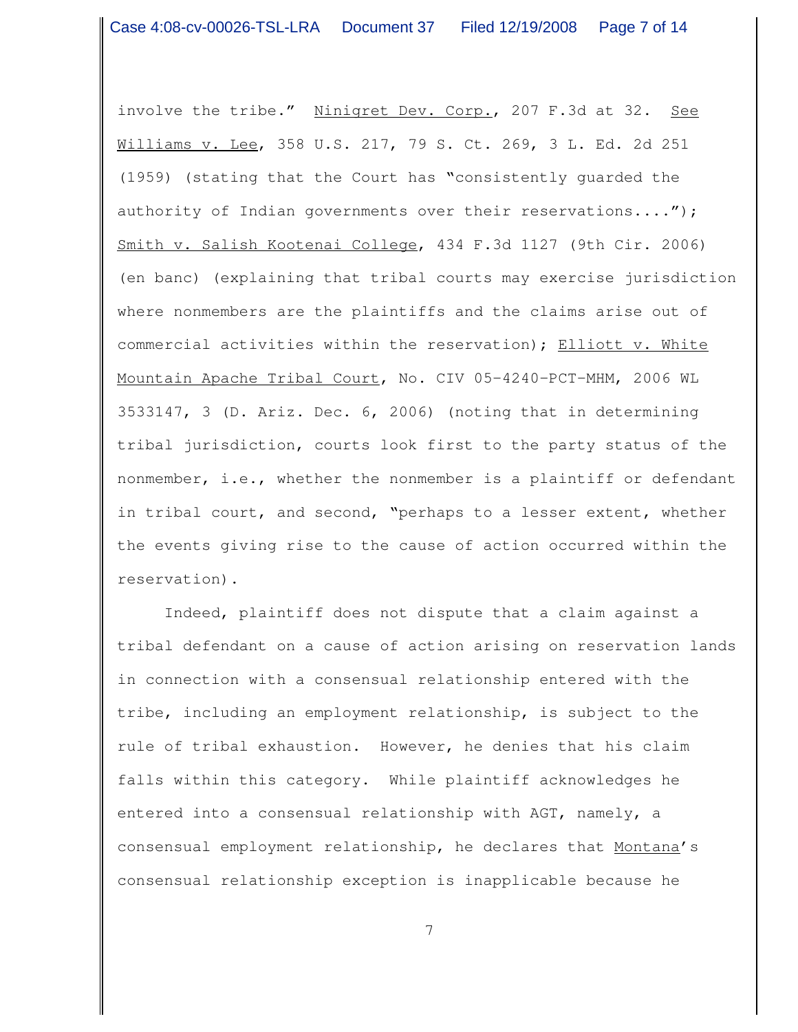involve the tribe." Ninigret Dev. Corp., 207 F.3d at 32. See Williams v. Lee, 358 U.S. 217, 79 S. Ct. 269, 3 L. Ed. 2d 251 (1959) (stating that the Court has "consistently guarded the authority of Indian governments over their reservations...."); Smith v. Salish Kootenai College, 434 F.3d 1127 (9th Cir. 2006) (en banc) (explaining that tribal courts may exercise jurisdiction where nonmembers are the plaintiffs and the claims arise out of commercial activities within the reservation); Elliott v. White Mountain Apache Tribal Court, No. CIV 05-4240-PCT-MHM, 2006 WL 3533147, 3 (D. Ariz. Dec. 6, 2006) (noting that in determining tribal jurisdiction, courts look first to the party status of the nonmember, i.e., whether the nonmember is a plaintiff or defendant in tribal court, and second, "perhaps to a lesser extent, whether the events giving rise to the cause of action occurred within the reservation).

Indeed, plaintiff does not dispute that a claim against a tribal defendant on a cause of action arising on reservation lands in connection with a consensual relationship entered with the tribe, including an employment relationship, is subject to the rule of tribal exhaustion. However, he denies that his claim falls within this category. While plaintiff acknowledges he entered into a consensual relationship with AGT, namely, a consensual employment relationship, he declares that Montana's consensual relationship exception is inapplicable because he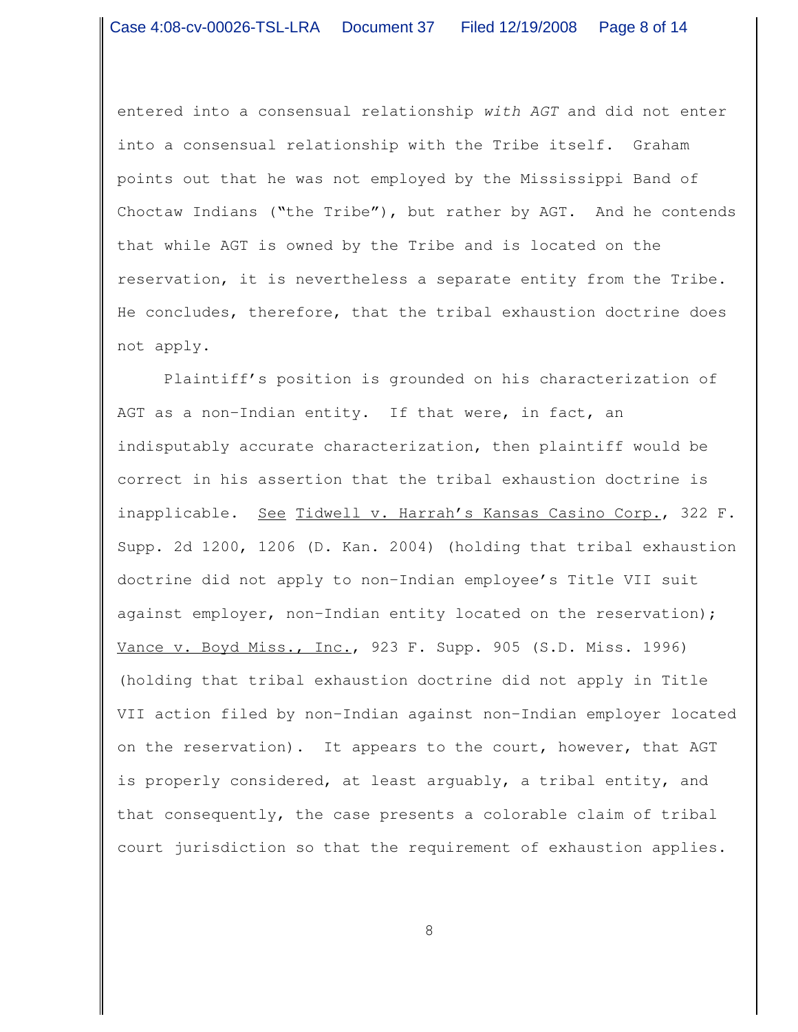entered into a consensual relationship *with AGT* and did not enter into a consensual relationship with the Tribe itself. Graham points out that he was not employed by the Mississippi Band of Choctaw Indians ("the Tribe"), but rather by AGT. And he contends that while AGT is owned by the Tribe and is located on the reservation, it is nevertheless a separate entity from the Tribe. He concludes, therefore, that the tribal exhaustion doctrine does not apply.

Plaintiff's position is grounded on his characterization of AGT as a non-Indian entity. If that were, in fact, an indisputably accurate characterization, then plaintiff would be correct in his assertion that the tribal exhaustion doctrine is inapplicable. See Tidwell v. Harrah's Kansas Casino Corp., 322 F. Supp. 2d 1200, 1206 (D. Kan. 2004) (holding that tribal exhaustion doctrine did not apply to non-Indian employee's Title VII suit against employer, non-Indian entity located on the reservation); Vance v. Boyd Miss., Inc., 923 F. Supp. 905 (S.D. Miss. 1996) (holding that tribal exhaustion doctrine did not apply in Title VII action filed by non-Indian against non-Indian employer located on the reservation). It appears to the court, however, that AGT is properly considered, at least arguably, a tribal entity, and that consequently, the case presents a colorable claim of tribal court jurisdiction so that the requirement of exhaustion applies.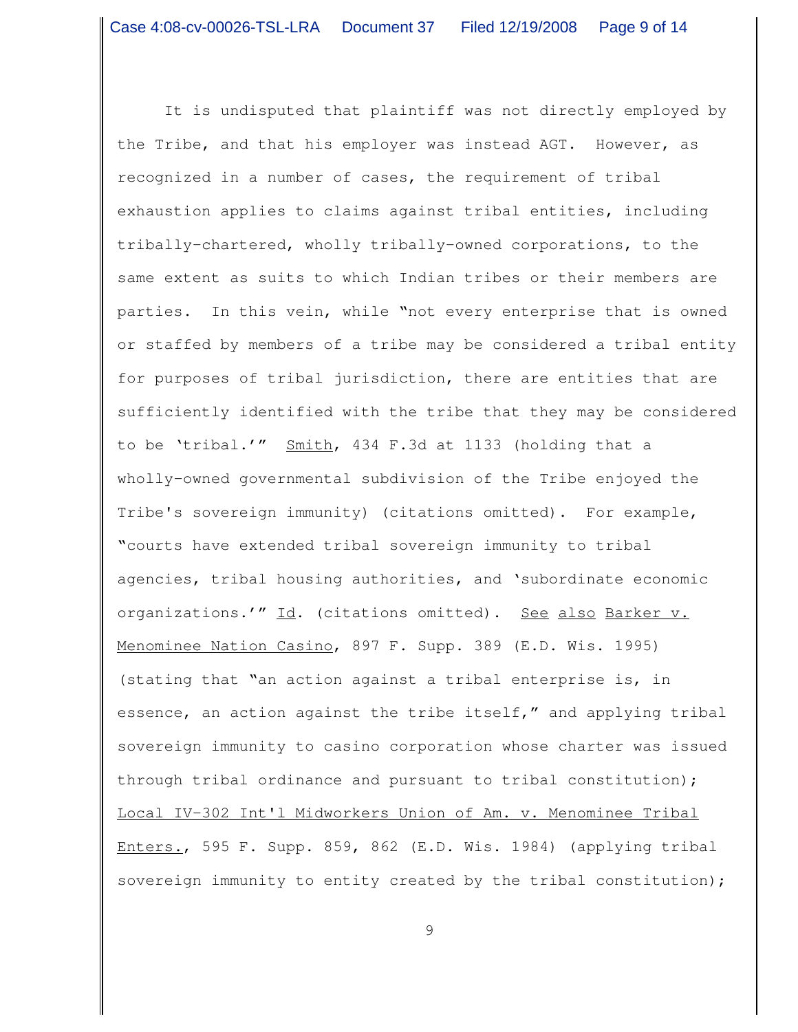It is undisputed that plaintiff was not directly employed by the Tribe, and that his employer was instead AGT. However, as recognized in a number of cases, the requirement of tribal exhaustion applies to claims against tribal entities, including tribally-chartered, wholly tribally-owned corporations, to the same extent as suits to which Indian tribes or their members are parties. In this vein, while "not every enterprise that is owned or staffed by members of a tribe may be considered a tribal entity for purposes of tribal jurisdiction, there are entities that are sufficiently identified with the tribe that they may be considered to be 'tribal.'" Smith, 434 F.3d at 1133 (holding that a wholly-owned governmental subdivision of the Tribe enjoyed the Tribe's sovereign immunity) (citations omitted). For example, "courts have extended tribal sovereign immunity to tribal agencies, tribal housing authorities, and 'subordinate economic organizations.'" Id. (citations omitted). See also Barker v. Menominee Nation Casino, 897 F. Supp. 389 (E.D. Wis. 1995) (stating that "an action against a tribal enterprise is, in essence, an action against the tribe itself," and applying tribal sovereign immunity to casino corporation whose charter was issued through tribal ordinance and pursuant to tribal constitution); Local IV-302 Int'l Midworkers Union of Am. v. Menominee Tribal Enters., 595 F. Supp. 859, 862 (E.D. Wis. 1984) (applying tribal sovereign immunity to entity created by the tribal constitution);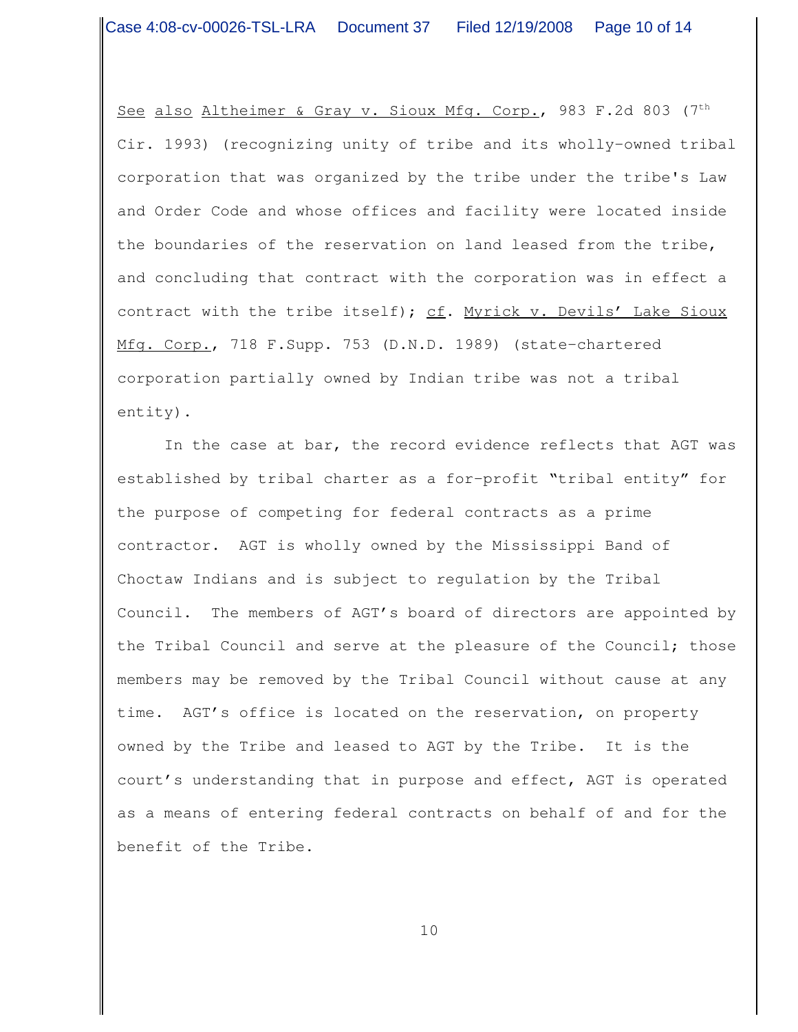See also Altheimer & Gray v. Sioux Mfg. Corp., 983 F.2d 803 (7th Cir. 1993) (recognizing unity of tribe and its wholly-owned tribal corporation that was organized by the tribe under the tribe's Law and Order Code and whose offices and facility were located inside the boundaries of the reservation on land leased from the tribe, and concluding that contract with the corporation was in effect a contract with the tribe itself); cf. Myrick v. Devils' Lake Sioux Mfg. Corp., 718 F.Supp. 753 (D.N.D. 1989) (state-chartered corporation partially owned by Indian tribe was not a tribal entity).

In the case at bar, the record evidence reflects that AGT was established by tribal charter as a for-profit "tribal entity" for the purpose of competing for federal contracts as a prime contractor. AGT is wholly owned by the Mississippi Band of Choctaw Indians and is subject to regulation by the Tribal Council. The members of AGT's board of directors are appointed by the Tribal Council and serve at the pleasure of the Council; those members may be removed by the Tribal Council without cause at any time. AGT's office is located on the reservation, on property owned by the Tribe and leased to AGT by the Tribe. It is the court's understanding that in purpose and effect, AGT is operated as a means of entering federal contracts on behalf of and for the benefit of the Tribe.

10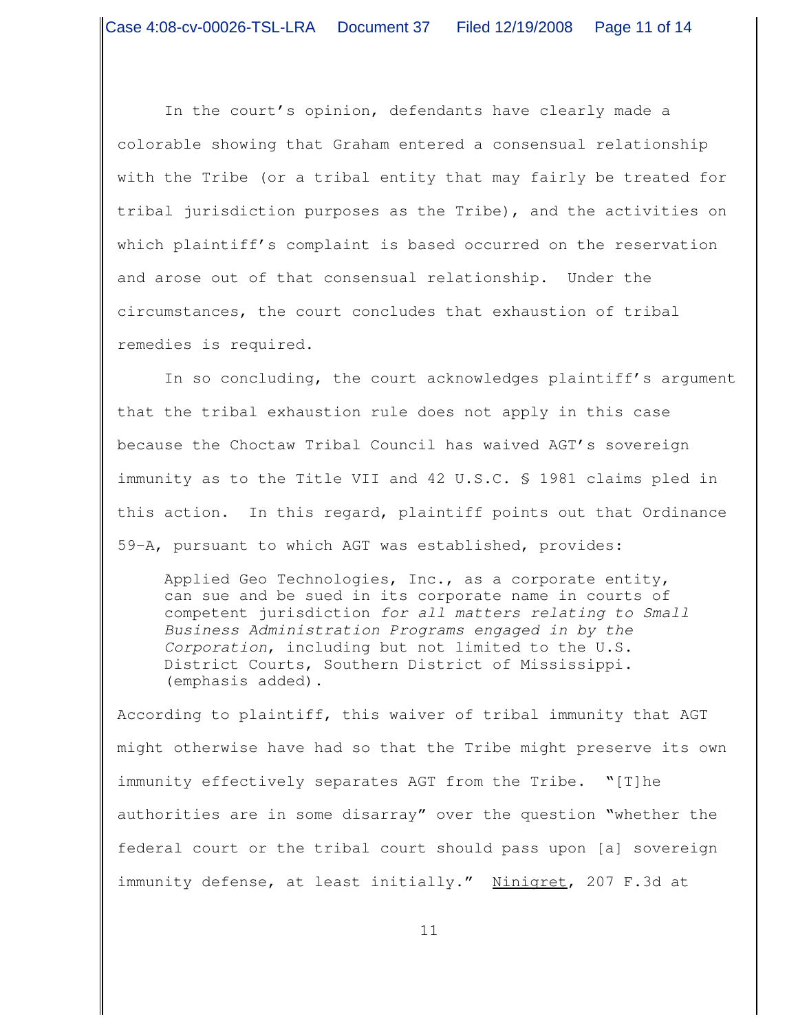In the court's opinion, defendants have clearly made a colorable showing that Graham entered a consensual relationship with the Tribe (or a tribal entity that may fairly be treated for tribal jurisdiction purposes as the Tribe), and the activities on which plaintiff's complaint is based occurred on the reservation and arose out of that consensual relationship. Under the circumstances, the court concludes that exhaustion of tribal remedies is required.

In so concluding, the court acknowledges plaintiff's argument that the tribal exhaustion rule does not apply in this case because the Choctaw Tribal Council has waived AGT's sovereign immunity as to the Title VII and 42 U.S.C. § 1981 claims pled in this action. In this regard, plaintiff points out that Ordinance 59-A, pursuant to which AGT was established, provides:

Applied Geo Technologies, Inc., as a corporate entity, can sue and be sued in its corporate name in courts of competent jurisdiction *for all matters relating to Small Business Administration Programs engaged in by the Corporation*, including but not limited to the U.S. District Courts, Southern District of Mississippi. (emphasis added).

According to plaintiff, this waiver of tribal immunity that AGT might otherwise have had so that the Tribe might preserve its own immunity effectively separates AGT from the Tribe. "[T]he authorities are in some disarray" over the question "whether the federal court or the tribal court should pass upon [a] sovereign immunity defense, at least initially." Ninigret, 207 F.3d at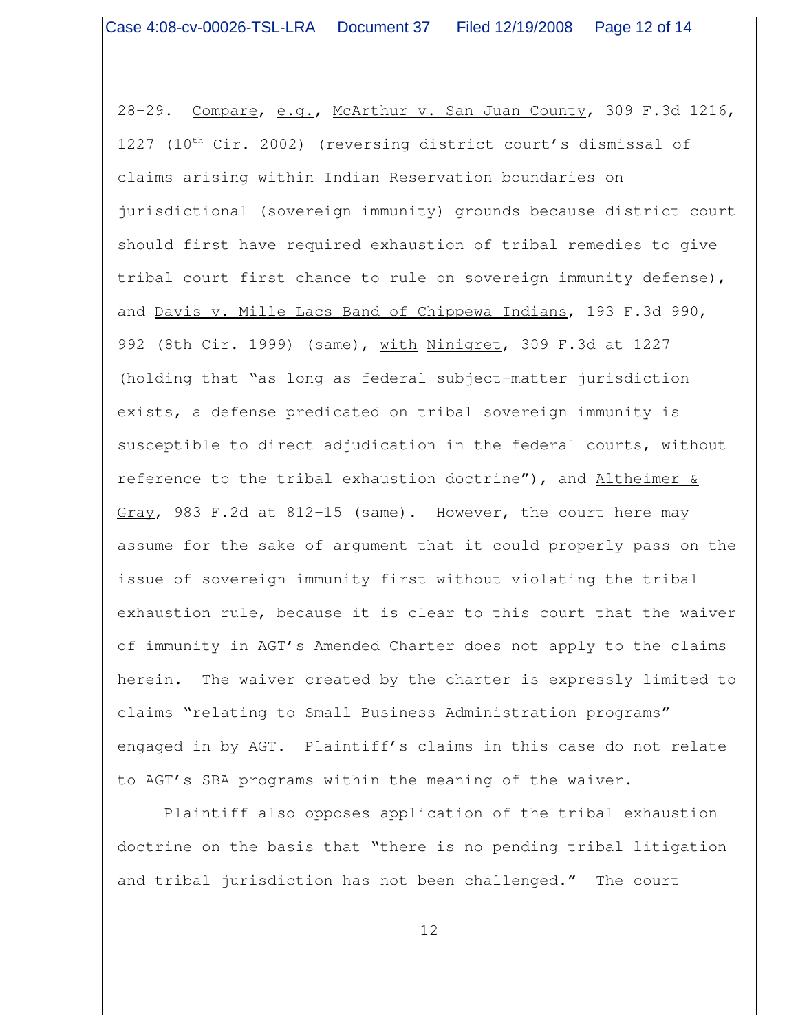28-29. Compare, e.g., McArthur v. San Juan County, 309 F.3d 1216, 1227 (10<sup>th</sup> Cir. 2002) (reversing district court's dismissal of claims arising within Indian Reservation boundaries on jurisdictional (sovereign immunity) grounds because district court should first have required exhaustion of tribal remedies to give tribal court first chance to rule on sovereign immunity defense), and Davis v. Mille Lacs Band of Chippewa Indians, 193 F.3d 990, 992 (8th Cir. 1999) (same), with Ninigret, 309 F.3d at 1227 (holding that "as long as federal subject-matter jurisdiction exists, a defense predicated on tribal sovereign immunity is susceptible to direct adjudication in the federal courts, without reference to the tribal exhaustion doctrine"), and  $\Delta$ ltheimer  $\&$ Gray, 983 F.2d at 812-15 (same). However, the court here may assume for the sake of argument that it could properly pass on the issue of sovereign immunity first without violating the tribal exhaustion rule, because it is clear to this court that the waiver of immunity in AGT's Amended Charter does not apply to the claims herein. The waiver created by the charter is expressly limited to claims "relating to Small Business Administration programs" engaged in by AGT. Plaintiff's claims in this case do not relate to AGT's SBA programs within the meaning of the waiver.

Plaintiff also opposes application of the tribal exhaustion doctrine on the basis that "there is no pending tribal litigation and tribal jurisdiction has not been challenged." The court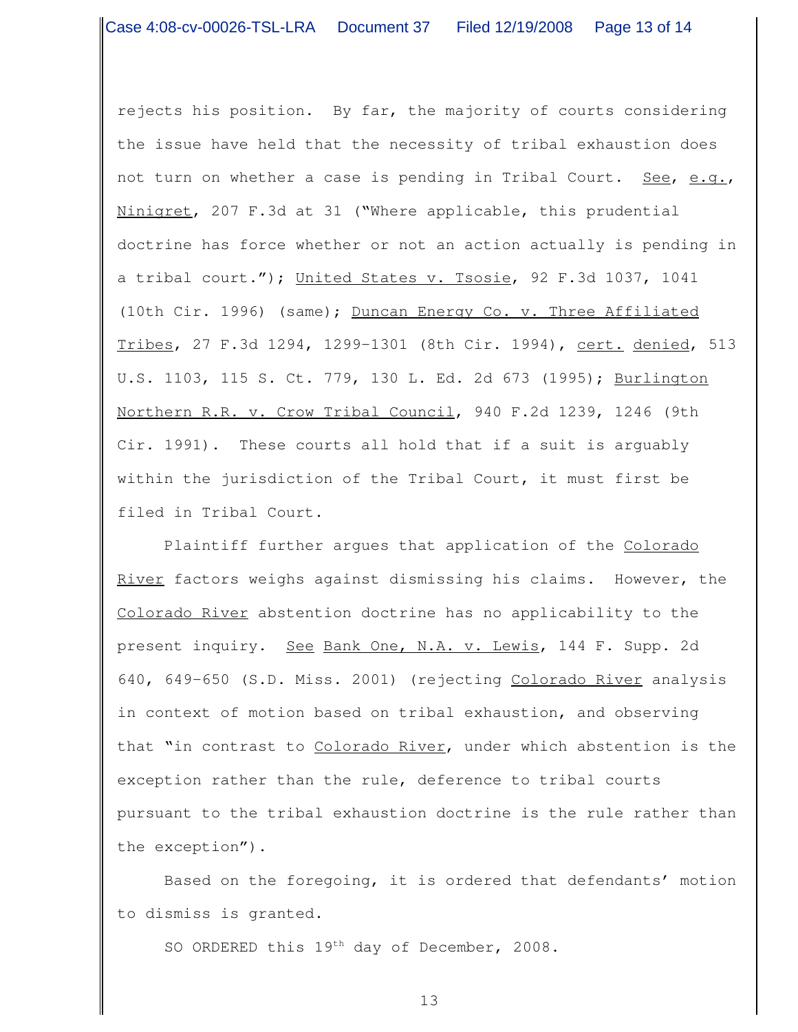rejects his position. By far, the majority of courts considering the issue have held that the necessity of tribal exhaustion does not turn on whether a case is pending in Tribal Court. See, e.g., Ninigret, 207 F.3d at 31 ("Where applicable, this prudential doctrine has force whether or not an action actually is pending in a tribal court."); United States v. Tsosie, 92 F.3d 1037, 1041 (10th Cir. 1996) (same); Duncan Energy Co. v. Three Affiliated Tribes, 27 F.3d 1294, 1299-1301 (8th Cir. 1994), cert. denied, 513 U.S. 1103, 115 S. Ct. 779, 130 L. Ed. 2d 673 (1995); Burlington Northern R.R. v. Crow Tribal Council, 940 F.2d 1239, 1246 (9th Cir. 1991). These courts all hold that if a suit is arguably within the jurisdiction of the Tribal Court, it must first be filed in Tribal Court.

Plaintiff further argues that application of the Colorado River factors weighs against dismissing his claims. However, the Colorado River abstention doctrine has no applicability to the present inquiry. See Bank One, N.A. v. Lewis, 144 F. Supp. 2d 640, 649-650 (S.D. Miss. 2001) (rejecting Colorado River analysis in context of motion based on tribal exhaustion, and observing that "in contrast to Colorado River, under which abstention is the exception rather than the rule, deference to tribal courts pursuant to the tribal exhaustion doctrine is the rule rather than the exception").

Based on the foregoing, it is ordered that defendants' motion to dismiss is granted.

SO ORDERED this 19<sup>th</sup> day of December, 2008.

13